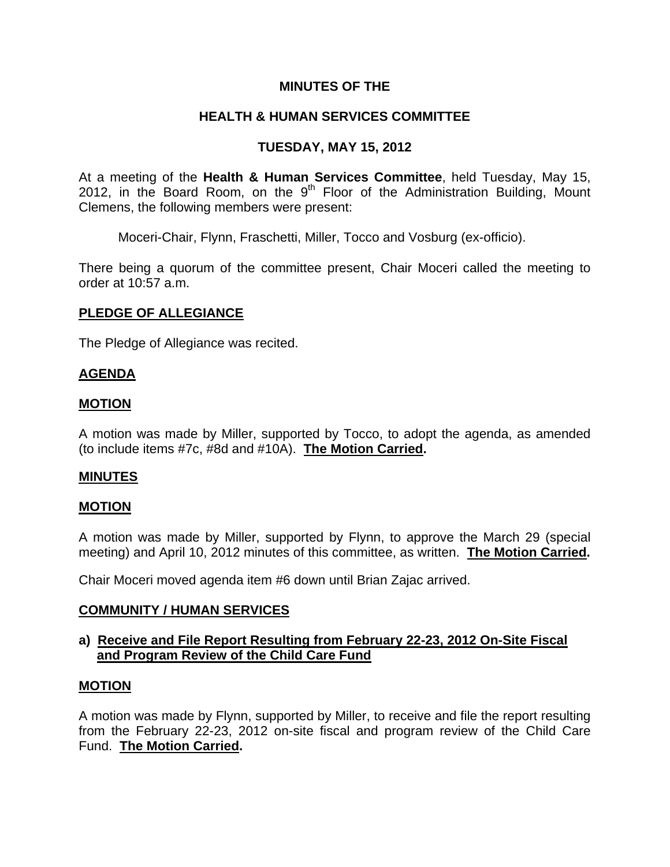# **MINUTES OF THE**

# **HEALTH & HUMAN SERVICES COMMITTEE**

# **TUESDAY, MAY 15, 2012**

At a meeting of the **Health & Human Services Committee**, held Tuesday, May 15, 2012, in the Board Room, on the  $9<sup>th</sup>$  Floor of the Administration Building, Mount Clemens, the following members were present:

Moceri-Chair, Flynn, Fraschetti, Miller, Tocco and Vosburg (ex-officio).

There being a quorum of the committee present, Chair Moceri called the meeting to order at 10:57 a.m.

### **PLEDGE OF ALLEGIANCE**

The Pledge of Allegiance was recited.

## **AGENDA**

### **MOTION**

A motion was made by Miller, supported by Tocco, to adopt the agenda, as amended (to include items #7c, #8d and #10A). **The Motion Carried.** 

### **MINUTES**

### **MOTION**

A motion was made by Miller, supported by Flynn, to approve the March 29 (special meeting) and April 10, 2012 minutes of this committee, as written. **The Motion Carried.** 

Chair Moceri moved agenda item #6 down until Brian Zajac arrived.

### **COMMUNITY / HUMAN SERVICES**

## **a) Receive and File Report Resulting from February 22-23, 2012 On-Site Fiscal and Program Review of the Child Care Fund**

### **MOTION**

A motion was made by Flynn, supported by Miller, to receive and file the report resulting from the February 22-23, 2012 on-site fiscal and program review of the Child Care Fund. **The Motion Carried.**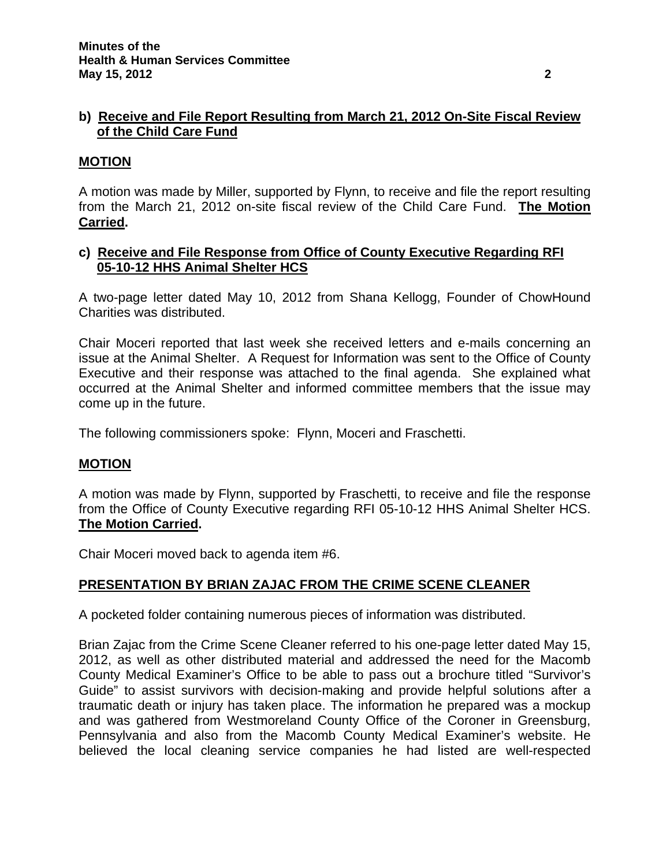# **b) Receive and File Report Resulting from March 21, 2012 On-Site Fiscal Review of the Child Care Fund**

# **MOTION**

A motion was made by Miller, supported by Flynn, to receive and file the report resulting from the March 21, 2012 on-site fiscal review of the Child Care Fund. **The Motion Carried.** 

# **c) Receive and File Response from Office of County Executive Regarding RFI 05-10-12 HHS Animal Shelter HCS**

A two-page letter dated May 10, 2012 from Shana Kellogg, Founder of ChowHound Charities was distributed.

Chair Moceri reported that last week she received letters and e-mails concerning an issue at the Animal Shelter. A Request for Information was sent to the Office of County Executive and their response was attached to the final agenda. She explained what occurred at the Animal Shelter and informed committee members that the issue may come up in the future.

The following commissioners spoke: Flynn, Moceri and Fraschetti.

### **MOTION**

A motion was made by Flynn, supported by Fraschetti, to receive and file the response from the Office of County Executive regarding RFI 05-10-12 HHS Animal Shelter HCS. **The Motion Carried.** 

Chair Moceri moved back to agenda item #6.

### **PRESENTATION BY BRIAN ZAJAC FROM THE CRIME SCENE CLEANER**

A pocketed folder containing numerous pieces of information was distributed.

Brian Zajac from the Crime Scene Cleaner referred to his one-page letter dated May 15, 2012, as well as other distributed material and addressed the need for the Macomb County Medical Examiner's Office to be able to pass out a brochure titled "Survivor's Guide" to assist survivors with decision-making and provide helpful solutions after a traumatic death or injury has taken place. The information he prepared was a mockup and was gathered from Westmoreland County Office of the Coroner in Greensburg, Pennsylvania and also from the Macomb County Medical Examiner's website. He believed the local cleaning service companies he had listed are well-respected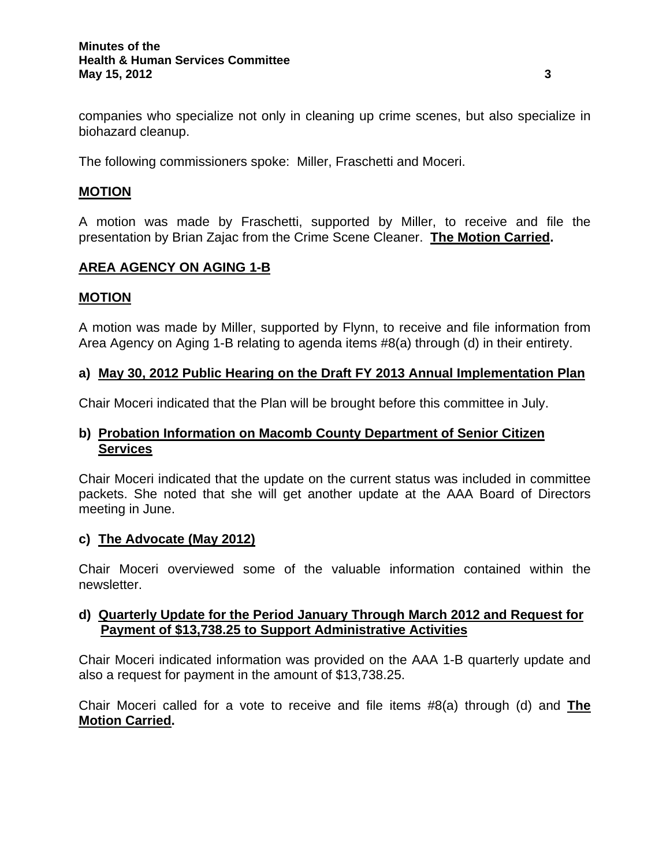#### **Minutes of the Health & Human Services Committee May 15, 2012** 3

companies who specialize not only in cleaning up crime scenes, but also specialize in biohazard cleanup.

The following commissioners spoke: Miller, Fraschetti and Moceri.

### **MOTION**

A motion was made by Fraschetti, supported by Miller, to receive and file the presentation by Brian Zajac from the Crime Scene Cleaner. **The Motion Carried.** 

# **AREA AGENCY ON AGING 1-B**

## **MOTION**

A motion was made by Miller, supported by Flynn, to receive and file information from Area Agency on Aging 1-B relating to agenda items #8(a) through (d) in their entirety.

## **a) May 30, 2012 Public Hearing on the Draft FY 2013 Annual Implementation Plan**

Chair Moceri indicated that the Plan will be brought before this committee in July.

## **b) Probation Information on Macomb County Department of Senior Citizen Services**

Chair Moceri indicated that the update on the current status was included in committee packets. She noted that she will get another update at the AAA Board of Directors meeting in June.

### **c) The Advocate (May 2012)**

Chair Moceri overviewed some of the valuable information contained within the newsletter.

# **d) Quarterly Update for the Period January Through March 2012 and Request for Payment of \$13,738.25 to Support Administrative Activities**

Chair Moceri indicated information was provided on the AAA 1-B quarterly update and also a request for payment in the amount of \$13,738.25.

Chair Moceri called for a vote to receive and file items #8(a) through (d) and **The Motion Carried.**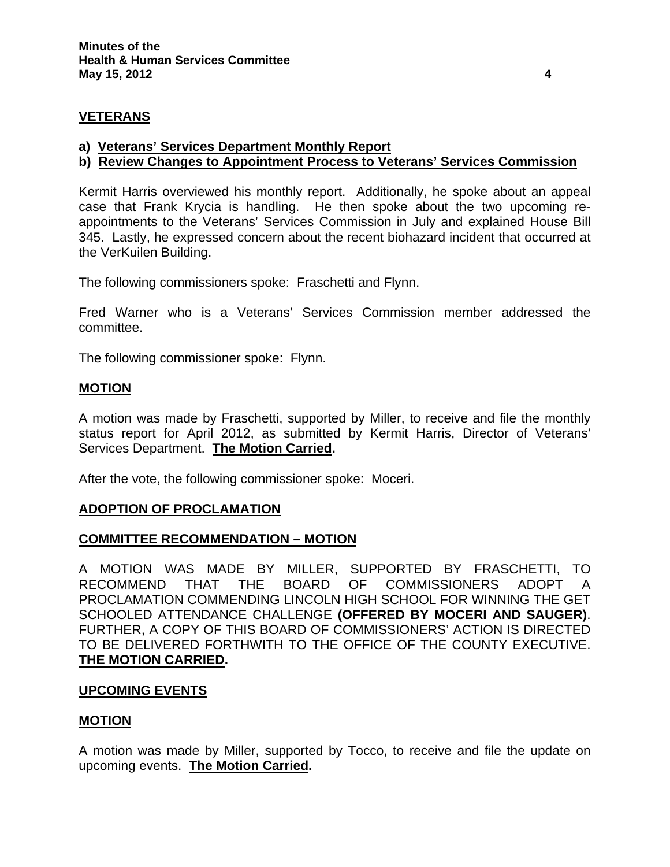# **VETERANS**

- **a) Veterans' Services Department Monthly Report**
- **b) Review Changes to Appointment Process to Veterans' Services Commission**

Kermit Harris overviewed his monthly report. Additionally, he spoke about an appeal case that Frank Krycia is handling. He then spoke about the two upcoming reappointments to the Veterans' Services Commission in July and explained House Bill 345. Lastly, he expressed concern about the recent biohazard incident that occurred at the VerKuilen Building.

The following commissioners spoke: Fraschetti and Flynn.

Fred Warner who is a Veterans' Services Commission member addressed the committee.

The following commissioner spoke: Flynn.

#### **MOTION**

A motion was made by Fraschetti, supported by Miller, to receive and file the monthly status report for April 2012, as submitted by Kermit Harris, Director of Veterans' Services Department. **The Motion Carried.** 

After the vote, the following commissioner spoke: Moceri.

### **ADOPTION OF PROCLAMATION**

### **COMMITTEE RECOMMENDATION – MOTION**

A MOTION WAS MADE BY MILLER, SUPPORTED BY FRASCHETTI, TO RECOMMEND THAT THE BOARD OF COMMISSIONERS ADOPT A PROCLAMATION COMMENDING LINCOLN HIGH SCHOOL FOR WINNING THE GET SCHOOLED ATTENDANCE CHALLENGE **(OFFERED BY MOCERI AND SAUGER)**. FURTHER, A COPY OF THIS BOARD OF COMMISSIONERS' ACTION IS DIRECTED TO BE DELIVERED FORTHWITH TO THE OFFICE OF THE COUNTY EXECUTIVE. **THE MOTION CARRIED.** 

### **UPCOMING EVENTS**

### **MOTION**

A motion was made by Miller, supported by Tocco, to receive and file the update on upcoming events. **The Motion Carried.**